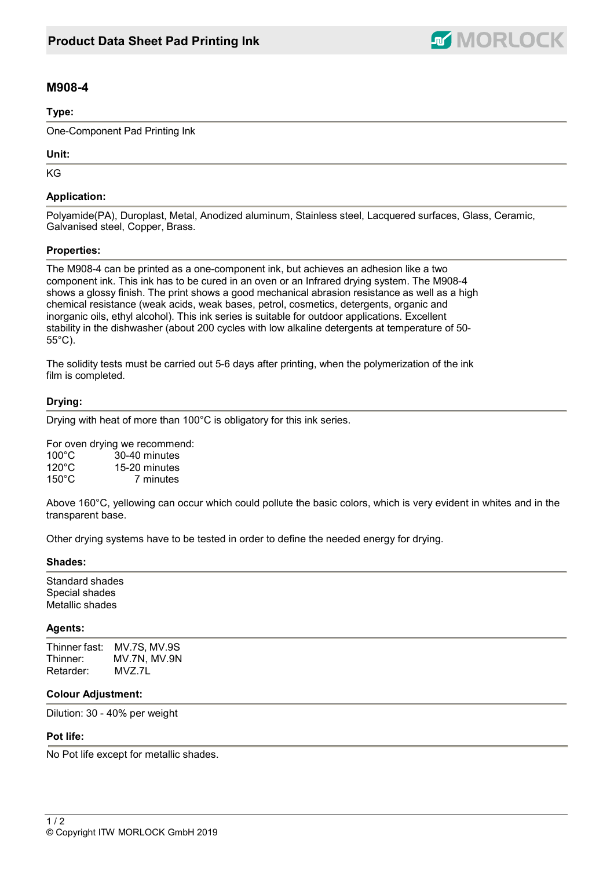

# **M908-4**

#### **Type:**

One-Component Pad Printing Ink

## **Unit:**

KG

# **Application:**

Polyamide(PA), Duroplast, Metal, Anodized aluminum, Stainless steel, Lacquered surfaces, Glass, Ceramic, Galvanised steel, Copper, Brass.

## **Properties:**

The M908-4 can be printed as a one-component ink, but achieves an adhesion like a two component ink. This ink has to be cured in an oven or an Infrared drying system. The M908-4 shows a glossy finish. The print shows a good mechanical abrasion resistance as well as a high chemical resistance (weak acids, weak bases, petrol, cosmetics, detergents, organic and inorganic oils, ethyl alcohol). This ink series is suitable for outdoor applications. Excellent stability in the dishwasher (about 200 cycles with low alkaline detergents at temperature of 50- 55°C).

The solidity tests must be carried out 5-6 days after printing, when the polymerization of the ink film is completed.

## **Drying:**

Drying with heat of more than 100°C is obligatory for this ink series.

For oven drying we recommend:

| $100^{\circ}$ C | 30-40 minutes |
|-----------------|---------------|
| $120^{\circ}$ C | 15-20 minutes |
| $150^{\circ}$ C | 7 minutes     |

Above 160°C, yellowing can occur which could pollute the basic colors, which is very evident in whites and in the transparent base.

Other drying systems have to be tested in order to define the needed energy for drying.

#### **Shades:**

Standard shades Special shades Metallic shades

#### **Agents:**

Thinner fast: MV.7S, MV.9S<br>Thinner: MV.7N, MV.9N MV.7N, MV.9N Retarder: MVZ.7L

#### **Colour Adjustment:**

Dilution: 30 - 40% per weight

#### **Pot life:**

No Pot life except for metallic shades.